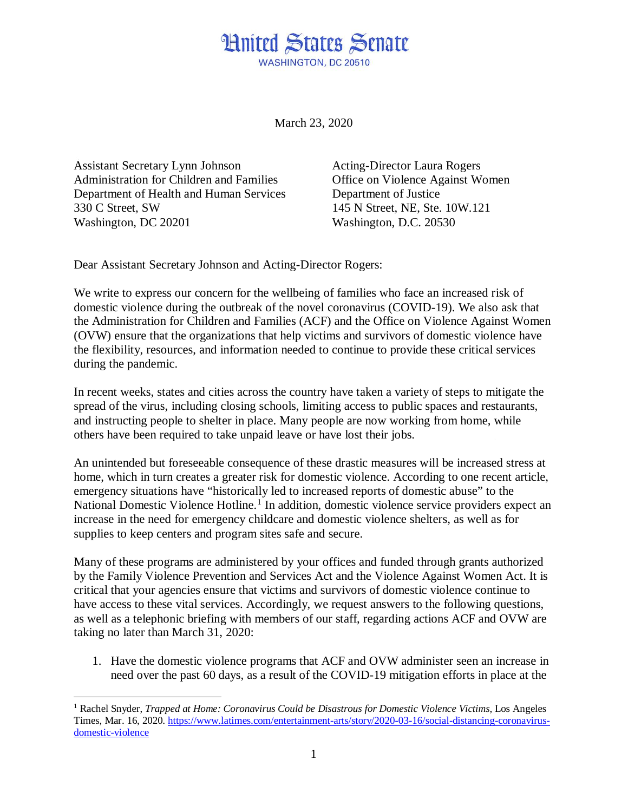## **Hnited States Senate** WASHINGTON, DC 20510

March 23, 2020

Assistant Secretary Lynn Johnson Administration for Children and Families Department of Health and Human Services 330 C Street, SW Washington, DC 20201

Acting-Director Laura Rogers Office on Violence Against Women Department of Justice 145 N Street, NE, Ste. 10W.121 Washington, D.C. 20530

Dear Assistant Secretary Johnson and Acting-Director Rogers:

We write to express our concern for the wellbeing of families who face an increased risk of domestic violence during the outbreak of the novel coronavirus (COVID-19). We also ask that the Administration for Children and Families (ACF) and the Office on Violence Against Women (OVW) ensure that the organizations that help victims and survivors of domestic violence have the flexibility, resources, and information needed to continue to provide these critical services during the pandemic.

In recent weeks, states and cities across the country have taken a variety of steps to mitigate the spread of the virus, including closing schools, limiting access to public spaces and restaurants, and instructing people to shelter in place. Many people are now working from home, while others have been required to take unpaid leave or have lost their jobs.

An unintended but foreseeable consequence of these drastic measures will be increased stress at home, which in turn creates a greater risk for domestic violence. According to one recent article, emergency situations have "historically led to increased reports of domestic abuse" to the National Domestic Violence Hotline.<sup>[1](#page-0-0)</sup> In addition, domestic violence service providers expect an increase in the need for emergency childcare and domestic violence shelters, as well as for supplies to keep centers and program sites safe and secure.

Many of these programs are administered by your offices and funded through grants authorized by the Family Violence Prevention and Services Act and the Violence Against Women Act. It is critical that your agencies ensure that victims and survivors of domestic violence continue to have access to these vital services. Accordingly, we request answers to the following questions, as well as a telephonic briefing with members of our staff, regarding actions ACF and OVW are taking no later than March 31, 2020:

1. Have the domestic violence programs that ACF and OVW administer seen an increase in need over the past 60 days, as a result of the COVID-19 mitigation efforts in place at the

<span id="page-0-0"></span><sup>1</sup> Rachel Snyder, *Trapped at Home: Coronavirus Could be Disastrous for Domestic Violence Victims*, Los Angeles Times, Mar. 16, 2020. [https://www.latimes.com/entertainment-arts/story/2020-03-16/social-distancing-coronavirus](https://www.latimes.com/entertainment-arts/story/2020-03-16/social-distancing-coronavirus-domestic-violence)[domestic-violence](https://www.latimes.com/entertainment-arts/story/2020-03-16/social-distancing-coronavirus-domestic-violence)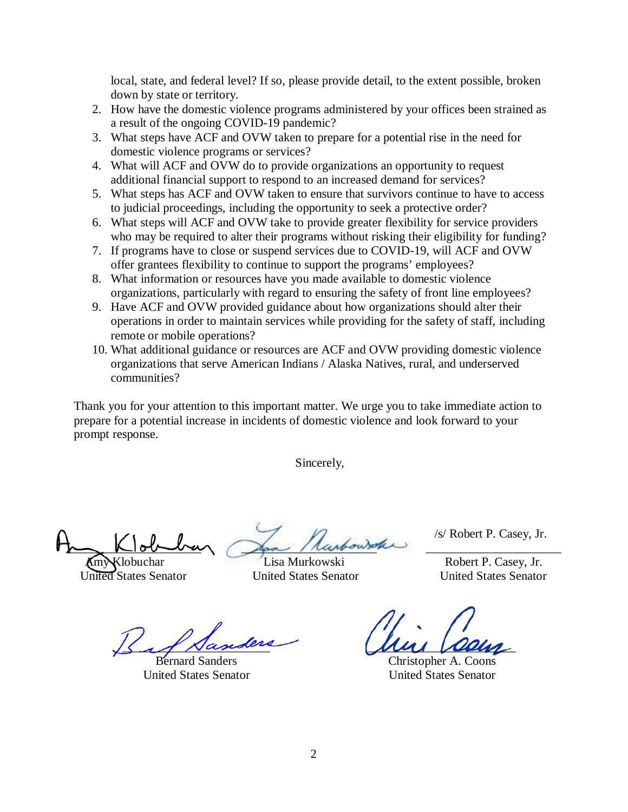local, state, and federal level? If so, please provide detail, to the extent possible, broken down by state or territory.

- 2. How have the domestic violence programs administered by your offices been strained as a result of the ongoing COVID-19 pandemic?
- 3. What steps have ACF and OVW taken to prepare for a potential rise in the need for domestic violence programs or services?
- 4. What will ACF and OVW do to provide organizations an opportunity to request additional financial support to respond to an increased demand for services?
- 5. What steps has ACF and OVW taken to ensure that survivors continue to have to access to judicial proceedings, including the opportunity to seek a protective order?
- 6. What steps will ACF and OVW take to provide greater flexibility for service providers who may be required to alter their programs without risking their eligibility for funding?
- 7. If programs have to close or suspend services due to COVID-19, will ACF and OVW offer grantees flexibility to continue to support the programs' employees?
- 8. What information or resources have you made available to domestic violence organizations, particularly with regard to ensuring the safety of front line employees?
- 9. Have ACF and OVW provided guidance about how organizations should alter their operations in order to maintain services while providing for the safety of staff, including remote or mobile operations?
- 10. What additional guidance or resources are ACF and OVW providing domestic violence organizations that serve American Indians / Alaska Natives, rural, and underserved communities?

Thank you for your attention to this important matter. We urge you to take immediate action to prepare for a potential increase in incidents of domestic violence and look forward to your prompt response.

Sincerely,

 $\sim$  Klob-berg spa / rasbourgher

Amy Klobuchar Lisa Murkowski Robert P. Casey, Jr.

/s/ Robert P. Casey, Jr.

United States Senator United States Senator United States Senator

 $\leq$   $\mathcal{A}$  Nasideri

Bernard Sanders United States Senator

Mui allen

Christopher A. Coons United States Senator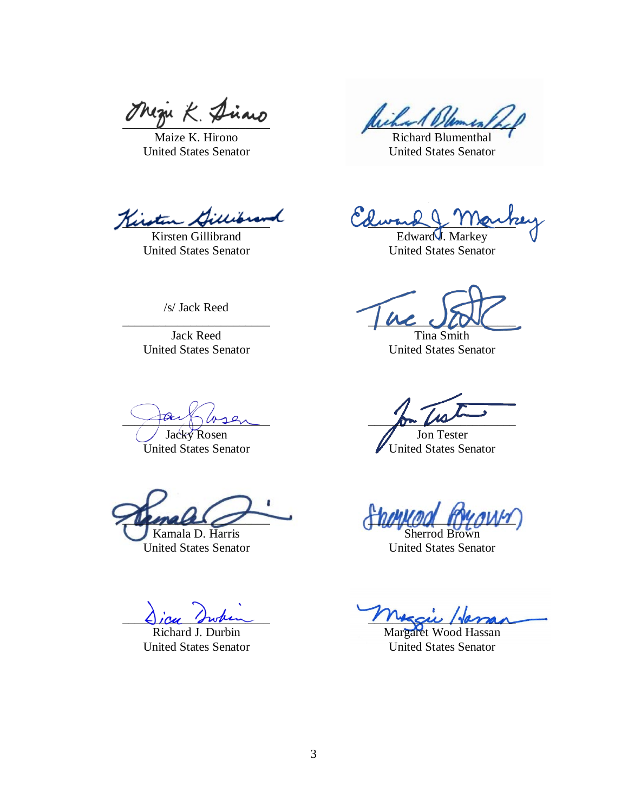Thezu  $K$  Dirais

Maize K. Hirono United States Senator

Richard Bles

Richard Blumenthal United States Senator

Kirstu

Kirsten Gillibrand United States Senator

 $Lww \sim 11$  ain

Edward<sup>1</sup>. Markey United States Senator

 $\mu$  is  $\mu$ Tina Smith

United States Senator

 $\rho$  and  $\rho$ 

Jon Tester United States Senator

 $T$ Sherrod Brown

United States Senator

 $M_{\rm K}$ u Haman

Margaret Wood Hassan United States Senator

/s/ Jack Reed

\_\_\_\_\_\_\_\_\_\_\_\_\_\_\_\_\_\_\_\_\_\_\_\_ Jack Reed United States Senator

pour moin

Jacky Rosen United States Senator

 $\mu$ male Kamala D. Harris

United States Senator

 $\bigcup$ icu Inten

Richard J. Durbin United States Senator